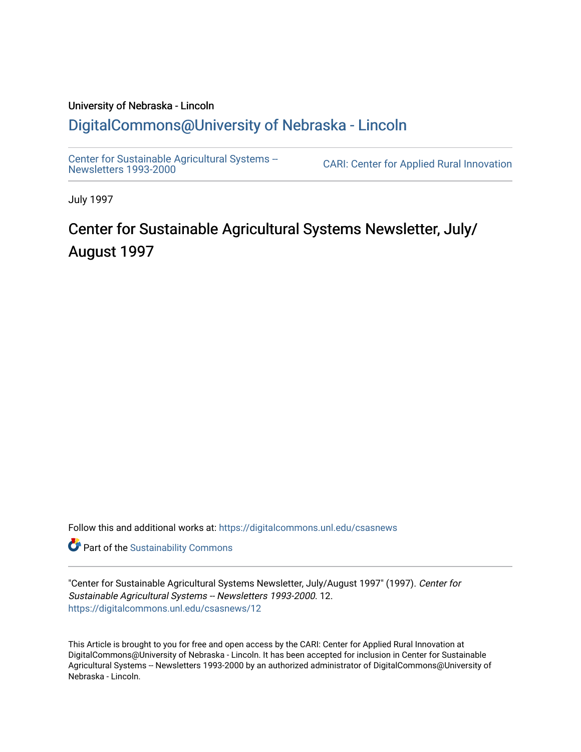# University of Nebraska - Lincoln [DigitalCommons@University of Nebraska - Lincoln](https://digitalcommons.unl.edu/)

[Center for Sustainable Agricultural Systems --](https://digitalcommons.unl.edu/csasnews)<br>Newsletters 1993-2000

CARI: Center for Applied Rural Innovation

July 1997

# Center for Sustainable Agricultural Systems Newsletter, July/ August 1997

Follow this and additional works at: [https://digitalcommons.unl.edu/csasnews](https://digitalcommons.unl.edu/csasnews?utm_source=digitalcommons.unl.edu%2Fcsasnews%2F12&utm_medium=PDF&utm_campaign=PDFCoverPages) 

**Part of the [Sustainability Commons](http://network.bepress.com/hgg/discipline/1031?utm_source=digitalcommons.unl.edu%2Fcsasnews%2F12&utm_medium=PDF&utm_campaign=PDFCoverPages)** 

"Center for Sustainable Agricultural Systems Newsletter, July/August 1997" (1997). Center for Sustainable Agricultural Systems -- Newsletters 1993-2000. 12. [https://digitalcommons.unl.edu/csasnews/12](https://digitalcommons.unl.edu/csasnews/12?utm_source=digitalcommons.unl.edu%2Fcsasnews%2F12&utm_medium=PDF&utm_campaign=PDFCoverPages) 

This Article is brought to you for free and open access by the CARI: Center for Applied Rural Innovation at DigitalCommons@University of Nebraska - Lincoln. It has been accepted for inclusion in Center for Sustainable Agricultural Systems -- Newsletters 1993-2000 by an authorized administrator of DigitalCommons@University of Nebraska - Lincoln.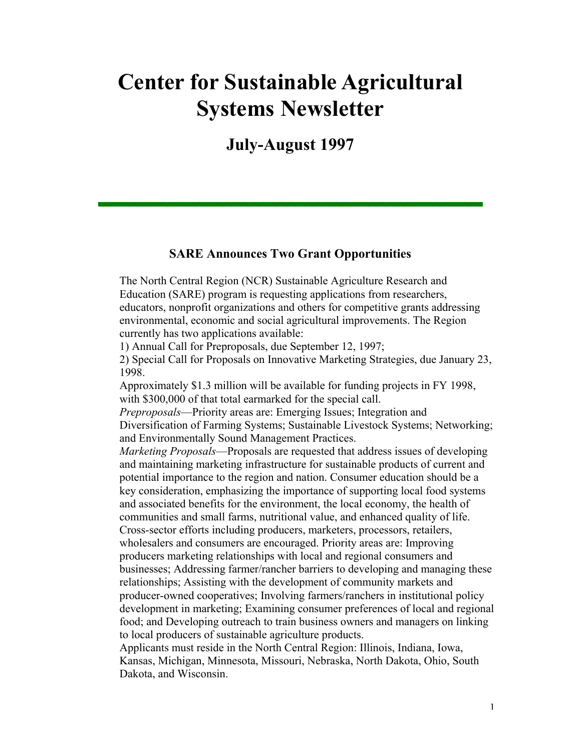# **Center for Sustainable Agricultural Systems Newsletter**

**July-August 1997** 

#### **SARE Announces Two Grant Opportunities**

The North Central Region (NCR) Sustainable Agriculture Research and Education (SARE) program is requesting applications from researchers, educators, nonprofit organizations and others for competitive grants addressing environmental, economic and social agricultural improvements. The Region currently has two applications available:

1) Annual Call for Preproposals, due September 12, 1997;

2) Special Call for Proposals on Innovative Marketing Strategies, due January 23, 1998.

Approximately \$1.3 million will be available for funding projects in FY 1998, with \$300,000 of that total earmarked for the special call.

*Preproposals*—Priority areas are: Emerging Issues; Integration and Diversification of Farming Systems; Sustainable Livestock Systems; Networking; and Environmentally Sound Management Practices.

*Marketing Proposals*—Proposals are requested that address issues of developing and maintaining marketing infrastructure for sustainable products of current and potential importance to the region and nation. Consumer education should be a key consideration, emphasizing the importance of supporting local food systems and associated benefits for the environment, the local economy, the health of communities and small farms, nutritional value, and enhanced quality of life. Cross-sector efforts including producers, marketers, processors, retailers, wholesalers and consumers are encouraged. Priority areas are: Improving producers marketing relationships with local and regional consumers and businesses; Addressing farmer/rancher barriers to developing and managing these relationships; Assisting with the development of community markets and producer-owned cooperatives; Involving farmers/ranchers in institutional policy development in marketing; Examining consumer preferences of local and regional food; and Developing outreach to train business owners and managers on linking to local producers of sustainable agriculture products.

Applicants must reside in the North Central Region: Illinois, Indiana, Iowa, Kansas, Michigan, Minnesota, Missouri, Nebraska, North Dakota, Ohio, South Dakota, and Wisconsin.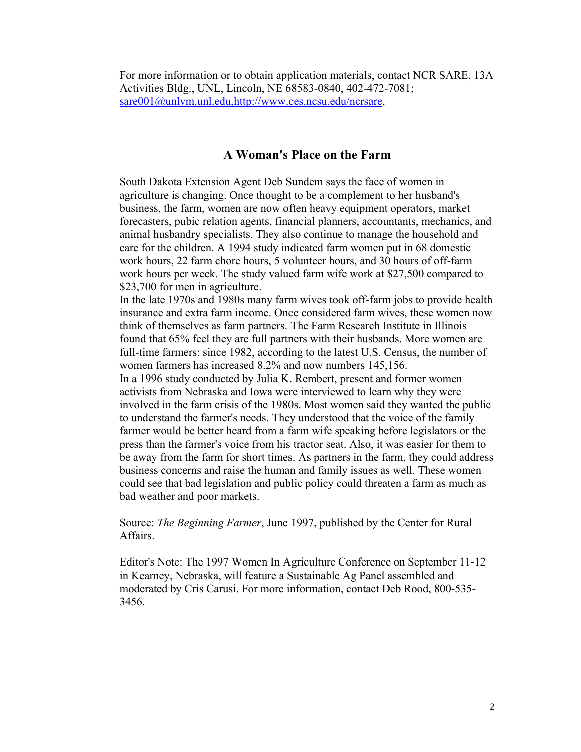For more information or to obtain application materials, contact NCR SARE, 13A Activities Bldg., UNL, Lincoln, NE 68583-0840, 402-472-7081; sare001@unlvm.unl.edu,http://www.ces.ncsu.edu/ncrsare.

#### **A Woman's Place on the Farm**

South Dakota Extension Agent Deb Sundem says the face of women in agriculture is changing. Once thought to be a complement to her husband's business, the farm, women are now often heavy equipment operators, market forecasters, pubic relation agents, financial planners, accountants, mechanics, and animal husbandry specialists. They also continue to manage the household and care for the children. A 1994 study indicated farm women put in 68 domestic work hours, 22 farm chore hours, 5 volunteer hours, and 30 hours of off-farm work hours per week. The study valued farm wife work at \$27,500 compared to \$23,700 for men in agriculture.

In the late 1970s and 1980s many farm wives took off-farm jobs to provide health insurance and extra farm income. Once considered farm wives, these women now think of themselves as farm partners. The Farm Research Institute in Illinois found that 65% feel they are full partners with their husbands. More women are full-time farmers; since 1982, according to the latest U.S. Census, the number of women farmers has increased 8.2% and now numbers 145,156.

In a 1996 study conducted by Julia K. Rembert, present and former women activists from Nebraska and Iowa were interviewed to learn why they were involved in the farm crisis of the 1980s. Most women said they wanted the public to understand the farmer's needs. They understood that the voice of the family farmer would be better heard from a farm wife speaking before legislators or the press than the farmer's voice from his tractor seat. Also, it was easier for them to be away from the farm for short times. As partners in the farm, they could address business concerns and raise the human and family issues as well. These women could see that bad legislation and public policy could threaten a farm as much as bad weather and poor markets.

Source: *The Beginning Farmer*, June 1997, published by the Center for Rural Affairs.

Editor's Note: The 1997 Women In Agriculture Conference on September 11-12 in Kearney, Nebraska, will feature a Sustainable Ag Panel assembled and moderated by Cris Carusi. For more information, contact Deb Rood, 800-535- 3456.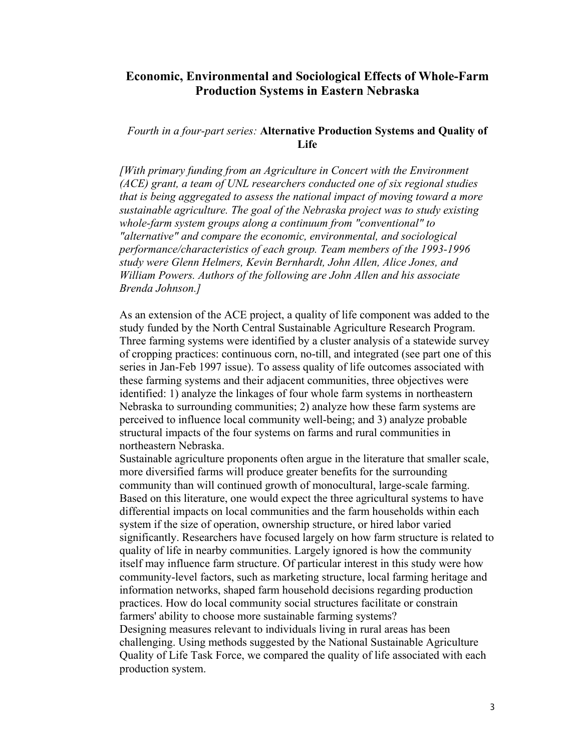# **Economic, Environmental and Sociological Effects of Whole-Farm Production Systems in Eastern Nebraska**

#### *Fourth in a four-part series:* **Alternative Production Systems and Quality of Life**

*[With primary funding from an Agriculture in Concert with the Environment (ACE) grant, a team of UNL researchers conducted one of six regional studies that is being aggregated to assess the national impact of moving toward a more sustainable agriculture. The goal of the Nebraska project was to study existing whole-farm system groups along a continuum from "conventional" to "alternative" and compare the economic, environmental, and sociological performance/characteristics of each group. Team members of the 1993-1996 study were Glenn Helmers, Kevin Bernhardt, John Allen, Alice Jones, and William Powers. Authors of the following are John Allen and his associate Brenda Johnson.]*

As an extension of the ACE project, a quality of life component was added to the study funded by the North Central Sustainable Agriculture Research Program. Three farming systems were identified by a cluster analysis of a statewide survey of cropping practices: continuous corn, no-till, and integrated (see part one of this series in Jan-Feb 1997 issue). To assess quality of life outcomes associated with these farming systems and their adjacent communities, three objectives were identified: 1) analyze the linkages of four whole farm systems in northeastern Nebraska to surrounding communities; 2) analyze how these farm systems are perceived to influence local community well-being; and 3) analyze probable structural impacts of the four systems on farms and rural communities in northeastern Nebraska.

Sustainable agriculture proponents often argue in the literature that smaller scale, more diversified farms will produce greater benefits for the surrounding community than will continued growth of monocultural, large-scale farming. Based on this literature, one would expect the three agricultural systems to have differential impacts on local communities and the farm households within each system if the size of operation, ownership structure, or hired labor varied significantly. Researchers have focused largely on how farm structure is related to quality of life in nearby communities. Largely ignored is how the community itself may influence farm structure. Of particular interest in this study were how community-level factors, such as marketing structure, local farming heritage and information networks, shaped farm household decisions regarding production practices. How do local community social structures facilitate or constrain farmers' ability to choose more sustainable farming systems? Designing measures relevant to individuals living in rural areas has been challenging. Using methods suggested by the National Sustainable Agriculture Quality of Life Task Force, we compared the quality of life associated with each production system.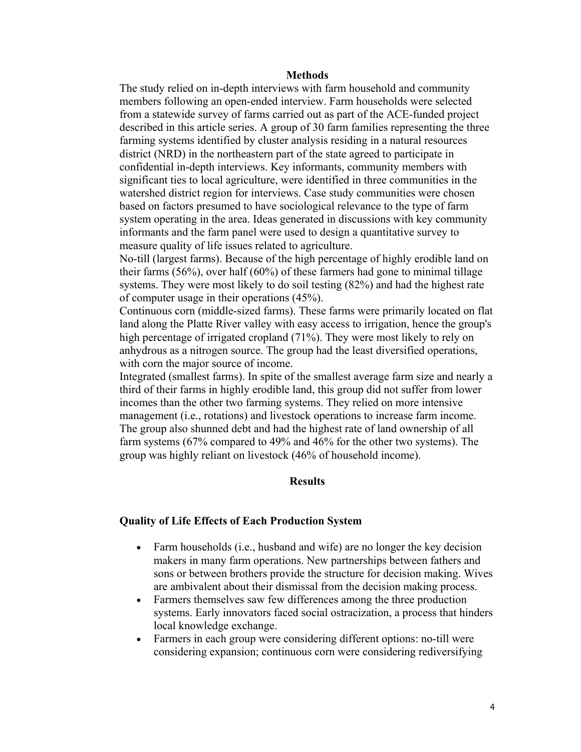#### **Methods**

The study relied on in-depth interviews with farm household and community members following an open-ended interview. Farm households were selected from a statewide survey of farms carried out as part of the ACE-funded project described in this article series. A group of 30 farm families representing the three farming systems identified by cluster analysis residing in a natural resources district (NRD) in the northeastern part of the state agreed to participate in confidential in-depth interviews. Key informants, community members with significant ties to local agriculture, were identified in three communities in the watershed district region for interviews. Case study communities were chosen based on factors presumed to have sociological relevance to the type of farm system operating in the area. Ideas generated in discussions with key community informants and the farm panel were used to design a quantitative survey to measure quality of life issues related to agriculture.

No-till (largest farms). Because of the high percentage of highly erodible land on their farms (56%), over half (60%) of these farmers had gone to minimal tillage systems. They were most likely to do soil testing (82%) and had the highest rate of computer usage in their operations (45%).

Continuous corn (middle-sized farms). These farms were primarily located on flat land along the Platte River valley with easy access to irrigation, hence the group's high percentage of irrigated cropland (71%). They were most likely to rely on anhydrous as a nitrogen source. The group had the least diversified operations, with corn the major source of income.

Integrated (smallest farms). In spite of the smallest average farm size and nearly a third of their farms in highly erodible land, this group did not suffer from lower incomes than the other two farming systems. They relied on more intensive management (i.e., rotations) and livestock operations to increase farm income. The group also shunned debt and had the highest rate of land ownership of all farm systems (67% compared to 49% and 46% for the other two systems). The group was highly reliant on livestock (46% of household income).

#### **Results**

#### **Quality of Life Effects of Each Production System**

- Farm households (i.e., husband and wife) are no longer the key decision makers in many farm operations. New partnerships between fathers and sons or between brothers provide the structure for decision making. Wives are ambivalent about their dismissal from the decision making process.
- Farmers themselves saw few differences among the three production systems. Early innovators faced social ostracization, a process that hinders local knowledge exchange.
- Farmers in each group were considering different options: no-till were considering expansion; continuous corn were considering rediversifying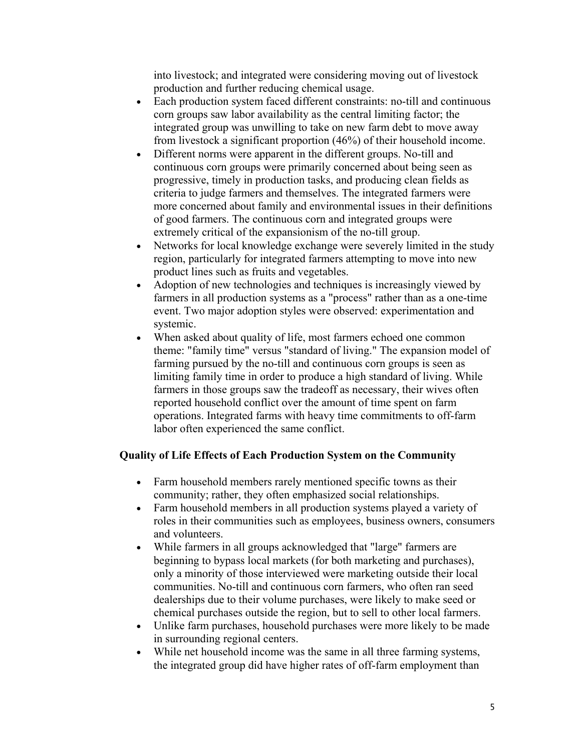into livestock; and integrated were considering moving out of livestock production and further reducing chemical usage.

- Each production system faced different constraints: no-till and continuous corn groups saw labor availability as the central limiting factor; the integrated group was unwilling to take on new farm debt to move away from livestock a significant proportion (46%) of their household income.
- Different norms were apparent in the different groups. No-till and continuous corn groups were primarily concerned about being seen as progressive, timely in production tasks, and producing clean fields as criteria to judge farmers and themselves. The integrated farmers were more concerned about family and environmental issues in their definitions of good farmers. The continuous corn and integrated groups were extremely critical of the expansionism of the no-till group.
- Networks for local knowledge exchange were severely limited in the study region, particularly for integrated farmers attempting to move into new product lines such as fruits and vegetables.
- Adoption of new technologies and techniques is increasingly viewed by farmers in all production systems as a "process" rather than as a one-time event. Two major adoption styles were observed: experimentation and systemic.
- When asked about quality of life, most farmers echoed one common theme: "family time" versus "standard of living." The expansion model of farming pursued by the no-till and continuous corn groups is seen as limiting family time in order to produce a high standard of living. While farmers in those groups saw the tradeoff as necessary, their wives often reported household conflict over the amount of time spent on farm operations. Integrated farms with heavy time commitments to off-farm labor often experienced the same conflict.

# **Quality of Life Effects of Each Production System on the Community**

- Farm household members rarely mentioned specific towns as their community; rather, they often emphasized social relationships.
- Farm household members in all production systems played a variety of roles in their communities such as employees, business owners, consumers and volunteers.
- While farmers in all groups acknowledged that "large" farmers are beginning to bypass local markets (for both marketing and purchases), only a minority of those interviewed were marketing outside their local communities. No-till and continuous corn farmers, who often ran seed dealerships due to their volume purchases, were likely to make seed or chemical purchases outside the region, but to sell to other local farmers.
- Unlike farm purchases, household purchases were more likely to be made in surrounding regional centers.
- While net household income was the same in all three farming systems, the integrated group did have higher rates of off-farm employment than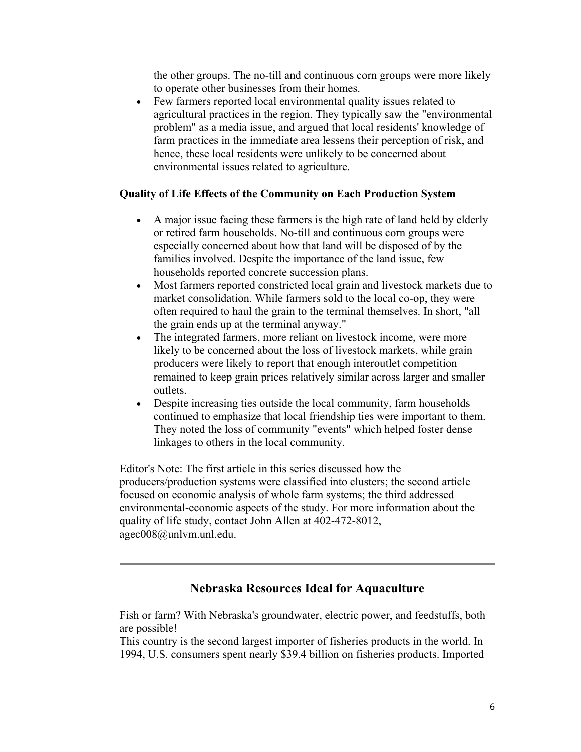the other groups. The no-till and continuous corn groups were more likely to operate other businesses from their homes.

• Few farmers reported local environmental quality issues related to agricultural practices in the region. They typically saw the "environmental problem" as a media issue, and argued that local residents' knowledge of farm practices in the immediate area lessens their perception of risk, and hence, these local residents were unlikely to be concerned about environmental issues related to agriculture.

# **Quality of Life Effects of the Community on Each Production System**

- A major issue facing these farmers is the high rate of land held by elderly or retired farm households. No-till and continuous corn groups were especially concerned about how that land will be disposed of by the families involved. Despite the importance of the land issue, few households reported concrete succession plans.
- Most farmers reported constricted local grain and livestock markets due to market consolidation. While farmers sold to the local co-op, they were often required to haul the grain to the terminal themselves. In short, "all the grain ends up at the terminal anyway."
- The integrated farmers, more reliant on livestock income, were more likely to be concerned about the loss of livestock markets, while grain producers were likely to report that enough interoutlet competition remained to keep grain prices relatively similar across larger and smaller outlets.
- Despite increasing ties outside the local community, farm households continued to emphasize that local friendship ties were important to them. They noted the loss of community "events" which helped foster dense linkages to others in the local community.

Editor's Note: The first article in this series discussed how the producers/production systems were classified into clusters; the second article focused on economic analysis of whole farm systems; the third addressed environmental-economic aspects of the study. For more information about the quality of life study, contact John Allen at 402-472-8012, agec008@unlvm.unl.edu.

# **Nebraska Resources Ideal for Aquaculture**

Fish or farm? With Nebraska's groundwater, electric power, and feedstuffs, both are possible!

This country is the second largest importer of fisheries products in the world. In 1994, U.S. consumers spent nearly \$39.4 billion on fisheries products. Imported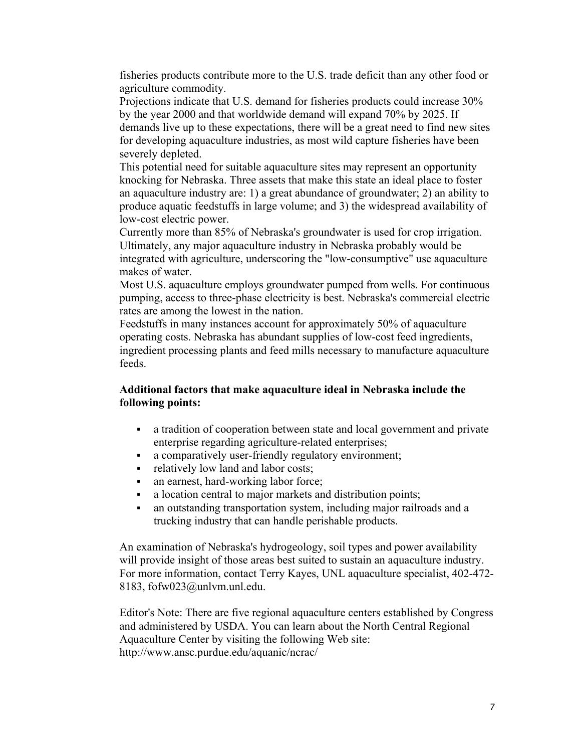fisheries products contribute more to the U.S. trade deficit than any other food or agriculture commodity.

Projections indicate that U.S. demand for fisheries products could increase 30% by the year 2000 and that worldwide demand will expand 70% by 2025. If demands live up to these expectations, there will be a great need to find new sites for developing aquaculture industries, as most wild capture fisheries have been severely depleted.

This potential need for suitable aquaculture sites may represent an opportunity knocking for Nebraska. Three assets that make this state an ideal place to foster an aquaculture industry are: 1) a great abundance of groundwater; 2) an ability to produce aquatic feedstuffs in large volume; and 3) the widespread availability of low-cost electric power.

Currently more than 85% of Nebraska's groundwater is used for crop irrigation. Ultimately, any major aquaculture industry in Nebraska probably would be integrated with agriculture, underscoring the "low-consumptive" use aquaculture makes of water.

Most U.S. aquaculture employs groundwater pumped from wells. For continuous pumping, access to three-phase electricity is best. Nebraska's commercial electric rates are among the lowest in the nation.

Feedstuffs in many instances account for approximately 50% of aquaculture operating costs. Nebraska has abundant supplies of low-cost feed ingredients, ingredient processing plants and feed mills necessary to manufacture aquaculture feeds.

#### **Additional factors that make aquaculture ideal in Nebraska include the following points:**

- a tradition of cooperation between state and local government and private enterprise regarding agriculture-related enterprises;
- a comparatively user-friendly regulatory environment;
- relatively low land and labor costs;
- an earnest, hard-working labor force;
- a location central to major markets and distribution points;
- an outstanding transportation system, including major railroads and a trucking industry that can handle perishable products.

An examination of Nebraska's hydrogeology, soil types and power availability will provide insight of those areas best suited to sustain an aquaculture industry. For more information, contact Terry Kayes, UNL aquaculture specialist, 402-472- 8183, fofw023@unlvm.unl.edu.

Editor's Note: There are five regional aquaculture centers established by Congress and administered by USDA. You can learn about the North Central Regional Aquaculture Center by visiting the following Web site: http://www.ansc.purdue.edu/aquanic/ncrac/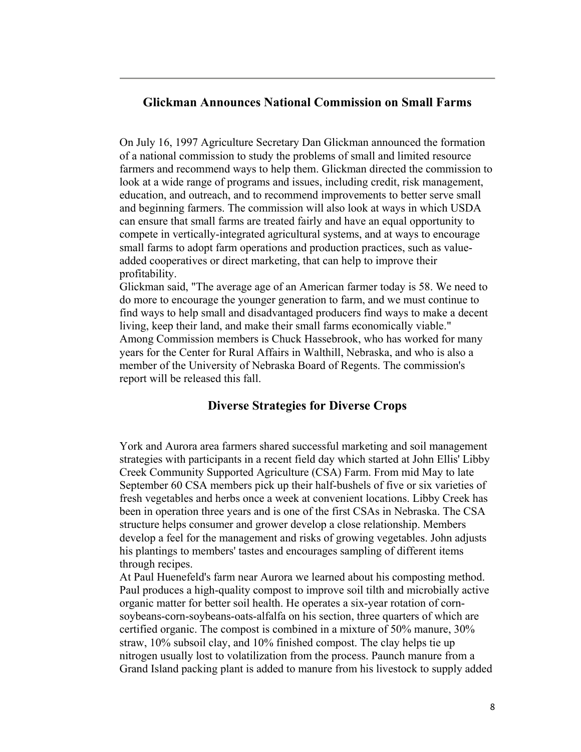# **Glickman Announces National Commission on Small Farms**

On July 16, 1997 Agriculture Secretary Dan Glickman announced the formation of a national commission to study the problems of small and limited resource farmers and recommend ways to help them. Glickman directed the commission to look at a wide range of programs and issues, including credit, risk management, education, and outreach, and to recommend improvements to better serve small and beginning farmers. The commission will also look at ways in which USDA can ensure that small farms are treated fairly and have an equal opportunity to compete in vertically-integrated agricultural systems, and at ways to encourage small farms to adopt farm operations and production practices, such as valueadded cooperatives or direct marketing, that can help to improve their profitability.

Glickman said, "The average age of an American farmer today is 58. We need to do more to encourage the younger generation to farm, and we must continue to find ways to help small and disadvantaged producers find ways to make a decent living, keep their land, and make their small farms economically viable." Among Commission members is Chuck Hassebrook, who has worked for many years for the Center for Rural Affairs in Walthill, Nebraska, and who is also a member of the University of Nebraska Board of Regents. The commission's report will be released this fall.

# **Diverse Strategies for Diverse Crops**

York and Aurora area farmers shared successful marketing and soil management strategies with participants in a recent field day which started at John Ellis' Libby Creek Community Supported Agriculture (CSA) Farm. From mid May to late September 60 CSA members pick up their half-bushels of five or six varieties of fresh vegetables and herbs once a week at convenient locations. Libby Creek has been in operation three years and is one of the first CSAs in Nebraska. The CSA structure helps consumer and grower develop a close relationship. Members develop a feel for the management and risks of growing vegetables. John adjusts his plantings to members' tastes and encourages sampling of different items through recipes.

At Paul Huenefeld's farm near Aurora we learned about his composting method. Paul produces a high-quality compost to improve soil tilth and microbially active organic matter for better soil health. He operates a six-year rotation of cornsoybeans-corn-soybeans-oats-alfalfa on his section, three quarters of which are certified organic. The compost is combined in a mixture of 50% manure, 30% straw, 10% subsoil clay, and 10% finished compost. The clay helps tie up nitrogen usually lost to volatilization from the process. Paunch manure from a Grand Island packing plant is added to manure from his livestock to supply added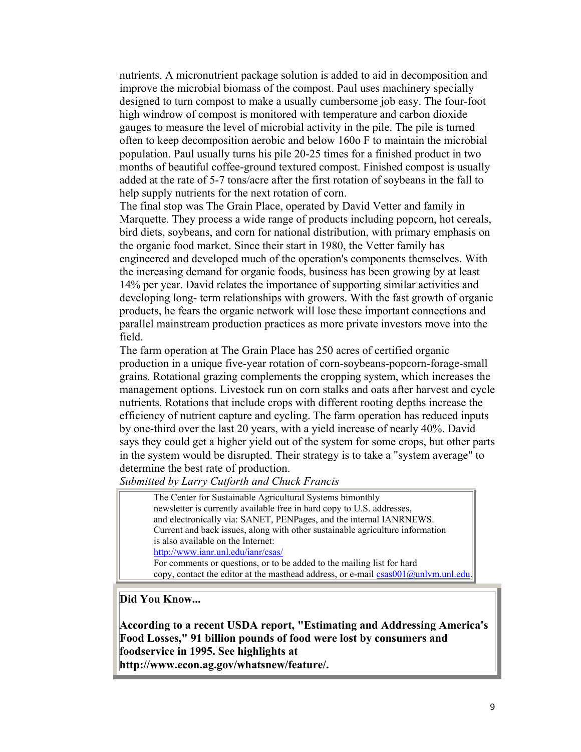nutrients. A micronutrient package solution is added to aid in decomposition and improve the microbial biomass of the compost. Paul uses machinery specially designed to turn compost to make a usually cumbersome job easy. The four-foot high windrow of compost is monitored with temperature and carbon dioxide gauges to measure the level of microbial activity in the pile. The pile is turned often to keep decomposition aerobic and below 160o F to maintain the microbial population. Paul usually turns his pile 20-25 times for a finished product in two months of beautiful coffee-ground textured compost. Finished compost is usually added at the rate of 5-7 tons/acre after the first rotation of soybeans in the fall to help supply nutrients for the next rotation of corn.

The final stop was The Grain Place, operated by David Vetter and family in Marquette. They process a wide range of products including popcorn, hot cereals, bird diets, soybeans, and corn for national distribution, with primary emphasis on the organic food market. Since their start in 1980, the Vetter family has engineered and developed much of the operation's components themselves. With the increasing demand for organic foods, business has been growing by at least 14% per year. David relates the importance of supporting similar activities and developing long- term relationships with growers. With the fast growth of organic products, he fears the organic network will lose these important connections and parallel mainstream production practices as more private investors move into the field.

The farm operation at The Grain Place has 250 acres of certified organic production in a unique five-year rotation of corn-soybeans-popcorn-forage-small grains. Rotational grazing complements the cropping system, which increases the management options. Livestock run on corn stalks and oats after harvest and cycle nutrients. Rotations that include crops with different rooting depths increase the efficiency of nutrient capture and cycling. The farm operation has reduced inputs by one-third over the last 20 years, with a yield increase of nearly 40%. David says they could get a higher yield out of the system for some crops, but other parts in the system would be disrupted. Their strategy is to take a "system average" to determine the best rate of production.

*Submitted by Larry Cutforth and Chuck Francis*

The Center for Sustainable Agricultural Systems bimonthly newsletter is currently available free in hard copy to U.S. addresses, and electronically via: SANET, PENPages, and the internal IANRNEWS. Current and back issues, along with other sustainable agriculture information is also available on the Internet: http://www.ianr.unl.edu/ianr/csas/ For comments or questions, or to be added to the mailing list for hard copy, contact the editor at the masthead address, or e-mail  $csas001@$ unlym.unl.edu.

#### **Did You Know...**

**According to a recent USDA report, "Estimating and Addressing America's Food Losses," 91 billion pounds of food were lost by consumers and foodservice in 1995. See highlights at http://www.econ.ag.gov/whatsnew/feature/.**